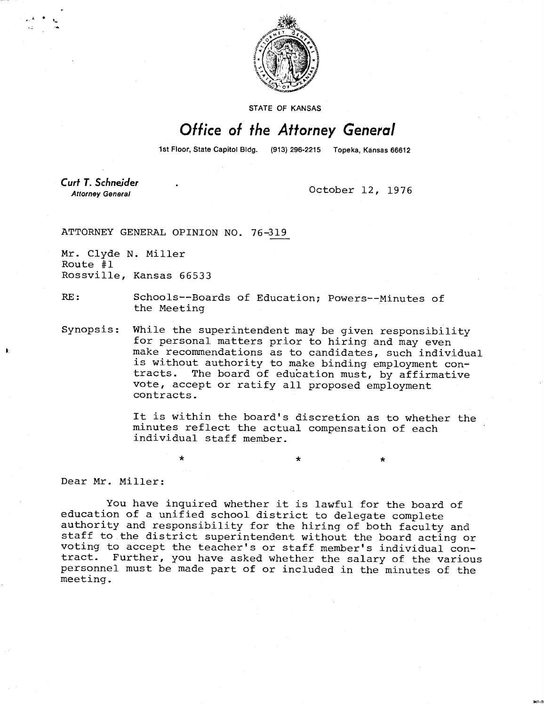

STATE OF KANSAS

## Office of the Attorney General

1st Floor, State Capitol Bldg. (913) 296-2215 Topeka, Kansas 66612

**Curt T. Schneider Attorney General** 

October 12, 1976

ATTORNEY GENERAL OPINION NO. 76-319

Mr. Clyde N. Miller Route #1 Rossville, Kansas 66533

RE: Schools--Boards of Education; Powers--Minutes of the Meeting

Synopsis: While the superintendent may be given responsibility for personal matters prior to hiring and may even make recommendations as to candidates, such individual is without authority to make binding employment contracts. The board of education must, by affirmative vote, accept or ratify all proposed employment contracts.

> It is within the board's discretion as to whether the minutes reflect the actual compensation of each individual staff member.

Dear Mr. Miller:

You have inquired whether it is lawful for the board of education of a unified school district to delegate complete authority and responsibility for the hiring of both faculty and staff to the district superintendent without the board acting or voting to accept the teacher's or staff member's individual contract. Further, you have asked whether the salary of the various personnel must be made part of or included in the minutes of the meeting.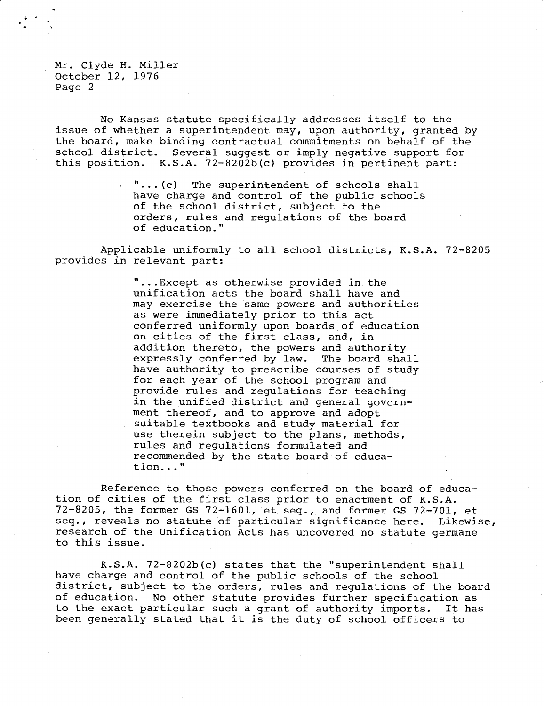Mr. Clyde H. Miller October 12, 1976 Page 2

No Kansas statute specifically addresses itself to the issue of whether a superintendent may, upon authority, granted by the board, make binding contractual commitments on behalf of the school district. Several suggest or imply negative support for this position. K.S.A. 72-8202b(c) provides in pertinent part:

> $\cdot$  "...(c) The superintendent of schools shall have charge and control of the public schools of the school district, subject to the orders, rules and regulations of the board of education."

Applicable uniformly to all school districts, K.S.A. 72-8205 provides in relevant part:

> ...Except as otherwise provided in the unification acts the board shall have and may exercise the same powers and authorities as were immediately prior to this act conferred uniformly upon boards of education on cities of the first class, and, in addition thereto, the powers and authority expressly conferred by law. The board shall have authority to prescribe courses of study for each year of the school program and provide rules and regulations for teaching in the unified district and general government thereof, and to approve and adopt suitable textbooks and study material for use therein subject to the plans, methods, rules and regulations formulated and recommended by the state board of education..."

Reference to those powers conferred on the board of education of cities of the first class prior to enactment of K.S.A. 72-8205, the former GS 72-1601, et seq., and former GS 72-701, et seq., reveals no statute of particular significance here. Likewise, research of the Unification Acts has uncovered no statute germane to this issue.

K.S.A. 72-8202b(c) states that the "superintendent shall have charge and control of the public schools of the school district, subject to the orders, rules and regulations of the board of education. No other statute provides further specification as to the exact particular such a grant of authority imports. It has been generally stated that it is the duty of school officers to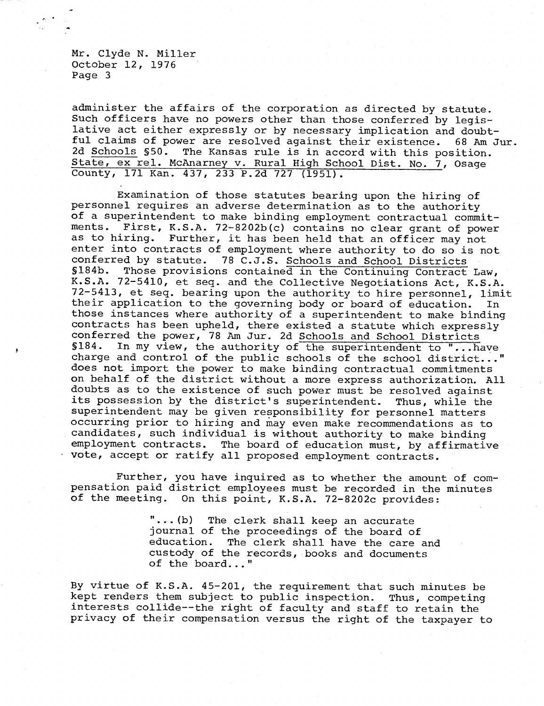Mr. Clyde N. Miller October 12, 1976 Page 3

administer the affairs of the corporation as directed by statute. Such officers have no powers other than those conferred by legislative act either expressly or by necessary implication and doubtful claims of power are resolved against their existence. 68 Am Jur. 2d Schools §50. The Kansas rule is in accord with this position. State, ex rel. McAnarney v. Rural High School Dist. No. 7, Osage County, 171 Kan. 437, 233 P.2d 727 (1951).

Examination of those statutes bearing upon the hiring of personnel requires an adverse determination as to the authority of a superintendent to make binding employment contractual commit-<br>ments. First, K.S.A. 72-8202b(c) contains no clear grant of power First, K.S.A. 72-8202b(c) contains no clear grant of power as to hiring. Further, it has been held that an officer may not enter into contracts of employment where authority to do so is not<br>conferred by statute. 78 C.J.S. Schools and School Districts 78 C.J.S. Schools and School Districts S184b. Those provisions contained in the Continuing Contract Law, K.S.A. 72-5410, et seq. and the Collective Negotiations Act, K.S.A. 72-5413, et seq. bearing upon the authority to hire personnel, limit their application to the governing body or board of education. In those instances where authority of a superintendent to make binding contracts has been upheld, there existed a statute which expressly conferred the power, 78 Am Jur. 2d Schools and School Districts §184. In my view, the authority of the superintendent to "...have charge and control of the public schools of the school district..." does not import the power to make binding contractual commitments on behalf of the district without a more express authorization. All doubts as to the existence of such power must be resolved against its possession by the district's superintendent. Thus, while the superintendent may be given responsibility for personnel matters occurring prior to hiring and may even make recommendations as to candidates, such individual is without authority to make binding employment contracts. The board of education must, by affirmative vote, accept or ratify all proposed employment contracts.

Further, you have inquired as to whether the amount of compensation paid district employees must be recorded in the minutes of the meeting. On this point, K.S.A. 72-8202c provides:

> ...(b) The clerk shall keep an accurate journal of the proceedings of the board of<br>education. The clerk shall have the care The clerk shall have the care and custody of the records, books and documents of the board..."

By virtue of K.S.A. 45-201, the requirement that such minutes be kept renders them subject to public inspection. Thus, competing interests collide--the right of faculty and staff to retain the privacy of their compensation versus the right of the taxpayer to